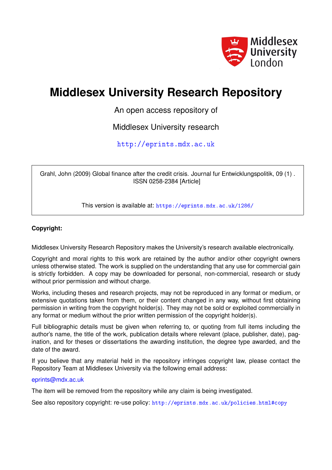

# **Middlesex University Research Repository**

An open access repository of

Middlesex University research

<http://eprints.mdx.ac.uk>

Grahl, John (2009) Global finance after the credit crisis. Journal fur Entwicklungspolitik, 09 (1) . ISSN 0258-2384 [Article]

This version is available at: <https://eprints.mdx.ac.uk/1286/>

### **Copyright:**

Middlesex University Research Repository makes the University's research available electronically.

Copyright and moral rights to this work are retained by the author and/or other copyright owners unless otherwise stated. The work is supplied on the understanding that any use for commercial gain is strictly forbidden. A copy may be downloaded for personal, non-commercial, research or study without prior permission and without charge.

Works, including theses and research projects, may not be reproduced in any format or medium, or extensive quotations taken from them, or their content changed in any way, without first obtaining permission in writing from the copyright holder(s). They may not be sold or exploited commercially in any format or medium without the prior written permission of the copyright holder(s).

Full bibliographic details must be given when referring to, or quoting from full items including the author's name, the title of the work, publication details where relevant (place, publisher, date), pagination, and for theses or dissertations the awarding institution, the degree type awarded, and the date of the award.

If you believe that any material held in the repository infringes copyright law, please contact the Repository Team at Middlesex University via the following email address:

#### [eprints@mdx.ac.uk](mailto:eprints@mdx.ac.uk)

The item will be removed from the repository while any claim is being investigated.

See also repository copyright: re-use policy: <http://eprints.mdx.ac.uk/policies.html#copy>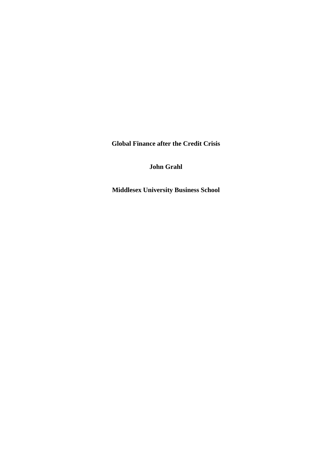**Global Finance after the Credit Crisis** 

**John Grahl** 

**Middlesex University Business School**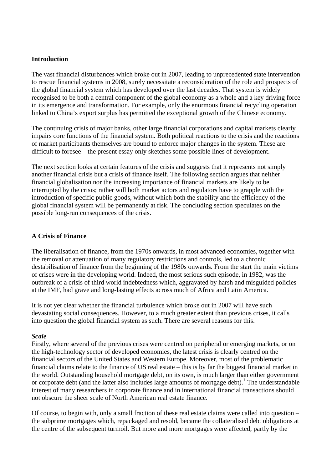#### **Introduction**

The vast financial disturbances which broke out in 2007, leading to unprecedented state intervention to rescue financial systems in 2008, surely necessitate a reconsideration of the role and prospects of the global financial system which has developed over the last decades. That system is widely recognised to be both a central component of the global economy as a whole and a key driving force in its emergence and transformation. For example, only the enormous financial recycling operation linked to China's export surplus has permitted the exceptional growth of the Chinese economy.

The continuing crisis of major banks, other large financial corporations and capital markets clearly impairs core functions of the financial system. Both political reactions to the crisis and the reactions of market participants themselves are bound to enforce major changes in the system. These are difficult to foresee – the present essay only sketches some possible lines of development.

The next section looks at certain features of the crisis and suggests that it represents not simply another financial crisis but a crisis of finance itself. The following section argues that neither financial globalisation nor the increasing importance of financial markets are likely to be interrupted by the crisis; rather will both market actors and regulators have to grapple with the introduction of specific public goods, without which both the stability and the efficiency of the global financial system will be permanently at risk. The concluding section speculates on the possible long-run consequences of the crisis.

## **A Crisis of Finance**

The liberalisation of finance, from the 1970s onwards, in most advanced economies, together with the removal or attenuation of many regulatory restrictions and controls, led to a chronic destabilisation of finance from the beginning of the 1980s onwards. From the start the main victims of crises were in the developing world. Indeed, the most serious such episode, in 1982, was the outbreak of a crisis of third world indebtedness which, aggravated by harsh and misguided policies at the IMF, had grave and long-lasting effects across much of Africa and Latin America.

It is not yet clear whether the financial turbulence which broke out in 2007 will have such devastating social consequences. However, to a much greater extent than previous crises, it calls into question the global financial system as such. There are several reasons for this.

#### *Scale*

Firstly, where several of the previous crises were centred on peripheral or emerging markets, or on the high-technology sector of developed economies, the latest crisis is clearly centred on the financial sectors of the United States and Western Europe. Moreover, most of the problematic financial claims relate to the finance of US real estate – this is by far the biggest financial market in the world. Outstanding household mortgage debt, on its own, is much larger than either government or corporate debt (and the latter also includes large amounts of mortgage debt).<sup>1</sup> The understandable interest of many researchers in corporate finance and in international financial transactions should not obscure the sheer scale of North American real estate finance.

Of course, to begin with, only a small fraction of these real estate claims were called into question – the subprime mortgages which, repackaged and resold, became the collateralised debt obligations at the centre of the subsequent turmoil. But more and more mortgages were affected, partly by the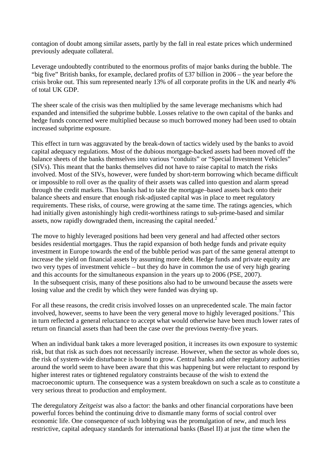contagion of doubt among similar assets, partly by the fall in real estate prices which undermined previously adequate collateral.

Leverage undoubtedly contributed to the enormous profits of major banks during the bubble. The "big five" British banks, for example, declared profits of £37 billion in 2006 – the year before the crisis broke out. This sum represented nearly 13% of all corporate profits in the UK and nearly 4% of total UK GDP.

The sheer scale of the crisis was then multiplied by the same leverage mechanisms which had expanded and intensified the subprime bubble. Losses relative to the own capital of the banks and hedge funds concerned were multiplied because so much borrowed money had been used to obtain increased subprime exposure.

This effect in turn was aggravated by the break-down of tactics widely used by the banks to avoid capital adequacy regulations. Most of the dubious mortgage-backed assets had been moved off the balance sheets of the banks themselves into various "conduits" or "Special Investment Vehicles" (SIVs). This meant that the banks themselves did not have to raise capital to match the risks involved. Most of the SIVs, however, were funded by short-term borrowing which became difficult or impossible to roll over as the quality of their assets was called into question and alarm spread through the credit markets. Thus banks had to take the mortgage–based assets back onto their balance sheets and ensure that enough risk-adjusted capital was in place to meet regulatory requirements. These risks, of course, were growing at the same time. The ratings agencies, which had initially given astonishingly high credit-worthiness ratings to sub-prime-based and similar assets, now rapidly downgraded them, increasing the capital needed.<sup>2</sup>

The move to highly leveraged positions had been very general and had affected other sectors besides residential mortgages. Thus the rapid expansion of both hedge funds and private equity investment in Europe towards the end of the bubble period was part of the same general attempt to increase the yield on financial assets by assuming more debt. Hedge funds and private equity are two very types of investment vehicle – but they do have in common the use of very high gearing and this accounts for the simultaneous expansion in the years up to 2006 (PSE, 2007). In the subsequent crisis, many of these positions also had to be unwound because the assets were losing value and the credit by which they were funded was drying up.

For all these reasons, the credit crisis involved losses on an unprecedented scale. The main factor involved, however, seems to have been the very general move to highly leveraged positions.<sup>3</sup> This in turn reflected a general reluctance to accept what would otherwise have been much lower rates of return on financial assets than had been the case over the previous twenty-five years.

When an individual bank takes a more leveraged position, it increases its own exposure to systemic risk, but that risk as such does not necessarily increase. However, when the sector as whole does so, the risk of system-wide disturbance is bound to grow. Central banks and other regulatory authorities around the world seem to have been aware that this was happening but were reluctant to respond by higher interest rates or tightened regulatory constraints because of the wish to extend the macroeconomic upturn. The consequence was a system breakdown on such a scale as to constitute a very serious threat to production and employment.

The deregulatory *Zeitgeist* was also a factor: the banks and other financial corporations have been powerful forces behind the continuing drive to dismantle many forms of social control over economic life. One consequence of such lobbying was the promulgation of new, and much less restrictive, capital adequacy standards for international banks (Basel II) at just the time when the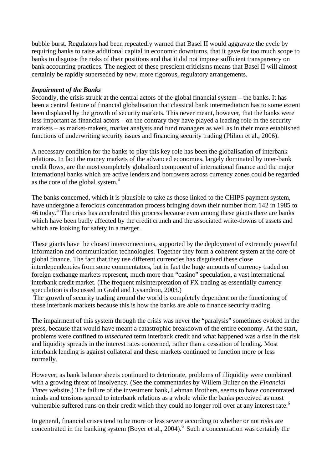bubble burst. Regulators had been repeatedly warned that Basel II would aggravate the cycle by requiring banks to raise additional capital in economic downturns, that it gave far too much scope to banks to disguise the risks of their positions and that it did not impose sufficient transparency on bank accounting practices. The neglect of these prescient criticisms means that Basel II will almost certainly be rapidly superseded by new, more rigorous, regulatory arrangements.

#### *Impairment of the Banks*

Secondly, the crisis struck at the central actors of the global financial system – the banks. It has been a central feature of financial globalisation that classical bank intermediation has to some extent been displaced by the growth of security markets. This never meant, however, that the banks were less important as financial actors – on the contrary they have played a leading role in the security markets – as market-makers, market analysts and fund managers as well as in their more established functions of underwriting security issues and financing security trading (Plihon et al., 2006).

A necessary condition for the banks to play this key role has been the globalisation of interbank relations. In fact the money markets of the advanced economies, largely dominated by inter-bank credit flows, are the most completely globalised component of international finance and the major international banks which are active lenders and borrowers across currency zones could be regarded as the core of the global system. $4$ 

The banks concerned, which it is plausible to take as those linked to the CHIPS payment system, have undergone a ferocious concentration process bringing down their number from 142 in 1985 to 46 today.<sup>5</sup> The crisis has accelerated this process because even among these giants there are banks which have been badly affected by the credit crunch and the associated write-downs of assets and which are looking for safety in a merger.

These giants have the closest interconnections, supported by the deployment of extremely powerful information and communication technologies. Together they form a coherent system at the core of global finance. The fact that they use different currencies has disguised these close interdependencies from some commentators, but in fact the huge amounts of currency traded on foreign exchange markets represent, much more than "casino" speculation, a vast international interbank credit market. (The frequent misinterpretation of FX trading as essentially currency speculation is discussed in Grahl and Lysandrou, 2003.)

 The growth of security trading around the world is completely dependent on the functioning of these interbank markets because this is how the banks are able to finance security trading.

The impairment of this system through the crisis was never the "paralysis" sometimes evoked in the press, because that would have meant a catastrophic breakdown of the entire economy. At the start, problems were confined to *unsecured* term interbank credit and what happened was a rise in the risk and liquidity spreads in the interest rates concerned, rather than a cessation of lending. Most interbank lending is against collateral and these markets continued to function more or less normally.

However, as bank balance sheets continued to deteriorate, problems of illiquidity were combined with a growing threat of insolvency. (See the commentaries by Willem Buiter on the *Financial Times* website.) The failure of the investment bank, Lehman Brothers, seems to have concentrated minds and tensions spread to interbank relations as a whole while the banks perceived as most vulnerable suffered runs on their credit which they could no longer roll over at any interest rate.<sup>6</sup>

In general, financial crises tend to be more or less severe according to whether or not risks are concentrated in the banking system (Boyer et al., 2004).<sup>6</sup> Such a concentration was certainly the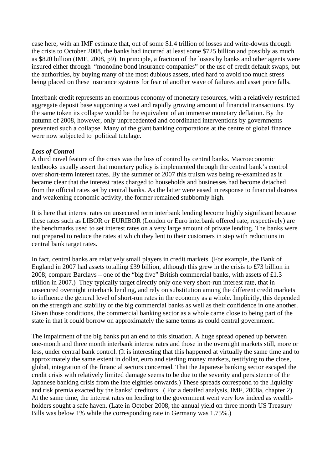case here, with an IMF estimate that, out of some \$1.4 trillion of losses and write-downs through the crisis to October 2008, the banks had incurred at least some \$725 billion and possibly as much as \$820 billion (IMF, 2008, p9). In principle, a fraction of the losses by banks and other agents were insured either through "monoline bond insurance companies" or the use of credit default swaps, but the authorities, by buying many of the most dubious assets, tried hard to avoid too much stress being placed on these insurance systems for fear of another wave of failures and asset price falls.

Interbank credit represents an enormous economy of monetary resources, with a relatively restricted aggregate deposit base supporting a vast and rapidly growing amount of financial transactions. By the same token its collapse would be the equivalent of an immense monetary deflation. By the autumn of 2008, however, only unprecedented and coordinated interventions by governments prevented such a collapse. Many of the giant banking corporations at the centre of global finance were now subjected to political tutelage.

## *Loss of Control*

A third novel feature of the crisis was the loss of control by central banks. Macroeconomic textbooks usually assert that monetary policy is implemented through the central bank's control over short-term interest rates. By the summer of 2007 this truism was being re-examined as it became clear that the interest rates charged to households and businesses had become detached from the official rates set by central banks. As the latter were eased in response to financial distress and weakening economic activity, the former remained stubbornly high.

It is here that interest rates on unsecured term interbank lending become highly significant because these rates such as LIBOR or EURIBOR (London or Euro interbank offered rate, respectively) are the benchmarks used to set interest rates on a very large amount of private lending. The banks were not prepared to reduce the rates at which they lent to their customers in step with reductions in central bank target rates.

In fact, central banks are relatively small players in credit markets. (For example, the Bank of England in 2007 had assets totalling £39 billion, although this grew in the crisis to £73 billion in 2008; compare Barclays – one of the "big five" British commercial banks, with assets of £1.3 trillion in 2007.) They typically target directly only one very short-run interest rate, that in unsecured overnight interbank lending, and rely on substitution among the different credit markets to influence the general level of short-run rates in the economy as a whole. Implicitly, this depended on the strength and stability of the big commercial banks as well as their confidence in one another. Given those conditions, the commercial banking sector as a whole came close to being part of the state in that it could borrow on approximately the same terms as could central government.

The impairment of the big banks put an end to this situation. A huge spread opened up between one-month and three month interbank interest rates and those in the overnight markets still, more or less, under central bank control. (It is interesting that this happened at virtually the same time and to approximately the same extent in dollar, euro and sterling money markets, testifying to the close, global, integration of the financial sectors concerned. That the Japanese banking sector escaped the credit crisis with relatively limited damage seems to be due to the severity and persistence of the Japanese banking crisis from the late eighties onwards.) These spreads correspond to the liquidity and risk premia exacted by the banks' creditors. ( For a detailed analysis, IMF, 2008a, chapter 2). At the same time, the interest rates on lending to the government went very low indeed as wealthholders sought a safe haven. (Late in October 2008, the annual yield on three month US Treasury Bills was below 1% while the corresponding rate in Germany was 1.75%.)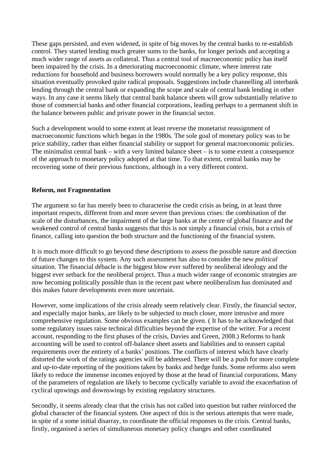These gaps persisted, and even widened, in spite of big moves by the central banks to re-establish control. They started lending much greater sums to the banks, for longer periods and accepting a much wider range of assets as collateral. Thus a central tool of macroeconomic policy has itself been impaired by the crisis. In a deteriorating macroeconomic climate, where interest rate reductions for household and business borrowers would normally be a key policy response, this situation eventually provoked quite radical proposals. Suggestions include channelling all interbank lending through the central bank or expanding the scope and scale of central bank lending in other ways. In any case it seems likely that central bank balance sheets will grow substantially relative to those of commercial banks and other financial corporations, leading perhaps to a permanent shift in the balance between public and private power in the financial sector.

Such a development would to some extent at least reverse the monetarist reassignment of macroeconomic functions which began in the 1980s. The sole goal of monetary policy was to be price stability, rather than either financial stability or support for general macroeconomic policies. The minimalist central bank – with a very limited balance sheet – is to some extent a consequence of the approach to monetary policy adopted at that time. To that extent, central banks may be recovering some of their previous functions, although in a very different context.

### **Reform, not Fragmentation**

The argument so far has merely been to characterise the credit crisis as being, in at least three important respects, different from and more severe than previous crises: the combination of the scale of the disturbances, the impairment of the large banks at the centre of global finance and the weakened control of central banks suggests that this is not simply a financial crisis, but a crisis of finance, calling into question the both structure and the functioning of the financial system.

It is much more difficult to go beyond these descriptions to assess the possible nature and direction of future changes to this system. Any such assessment has also to consider the new *political* situation. The financial débacle is the biggest blow ever suffered by neoliberal ideology and the biggest ever setback for the neoliberal project. Thus a much wider range of economic strategies are now becoming politically possible than in the recent past where neoliberalism has dominated and this makes future developments even more uncertain.

However, some implications of the crisis already seem relatively clear. Firstly, the financial sector, and especially major banks, are likely to be subjected to much closer, more intrusive and more comprehensive regulation. Some obvious examples can be given. ( It has to be acknowledged that some regulatory issues raise technical difficulties beyond the expertise of the writer. For a recent account, responding to the first phases of the crisis, Davies and Green, 2008.) Reforms to bank accounting will be used to control off-balance sheet assets and liabilities and to reassert capital requirements over the entirety of a banks' positions. The conflicts of interest which have clearly distorted the work of the ratings agencies will be addressed. There will be a push for more complete and up-to-date reporting of the positions taken by banks and hedge funds. Some reforms also seem likely to reduce the immense incomes enjoyed by those at the head of financial corporations. Many of the parameters of regulation are likely to become cyclically variable to avoid the exacerbation of cyclical upswings and downswings by existing regulatory structures.

Secondly, it seems already clear that the crisis has not called into question but rather reinforced the global character of the financial system. One aspect of this is the serious attempts that were made, in spite of a some initial disarray, to coordinate the official responses to the crisis. Central banks, firstly, organised a series of simultaneous monetary policy changes and other coordinated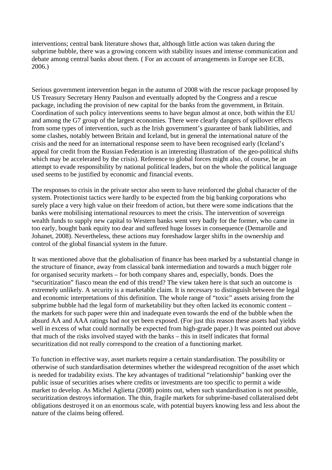interventions; central bank literature shows that, although little action was taken during the subprime bubble, there was a growing concern with stability issues and intense communication and debate among central banks about them. ( For an account of arrangements in Europe see ECB, 2006.)

Serious government intervention began in the autumn of 2008 with the rescue package proposed by US Treasury Secretary Henry Paulson and eventually adopted by the Congress and a rescue package, including the provision of new capital for the banks from the government, in Britain. Coordination of such policy interventions seems to have begun almost at once, both within the EU and among the G7 group of the largest economies. There were clearly dangers of spillover effects from some types of intervention, such as the Irish government's guarantee of bank liabilities, and some clashes, notably between Britain and Iceland, but in general the international nature of the crisis and the need for an international response seem to have been recognised early (Iceland's appeal for credit from the Russian Federation is an interesting illustration of the geo-political shifts which may be accelerated by the crisis). Reference to global forces might also, of course, be an attempt to evade responsibility by national political leaders, but on the whole the political language used seems to be justified by economic and financial events.

The responses to crisis in the private sector also seem to have reinforced the global character of the system. Protectionist tactics were hardly to be expected from the big banking corporations who surely place a very high value on their freedom of action, but there were some indications that the banks were mobilising international resources to meet the crisis. The intervention of sovereign wealth funds to supply new capital to Western banks went very badly for the former, who came in too early, bought bank equity too dear and suffered huge losses in consequence (Demarolle and Johanet, 2008). Nevertheless, these actions may foreshadow larger shifts in the ownership and control of the global financial system in the future.

It was mentioned above that the globalisation of finance has been marked by a substantial change in the structure of finance, away from classical bank intermediation and towards a much bigger role for organised security markets – for both company shares and, especially, bonds. Does the "securitization" fiasco mean the end of this trend? The view taken here is that such an outcome is extremely unlikely. A security is a marketable claim. It is necessary to distinguish between the legal and economic interpretations of this definition. The whole range of "toxic" assets arising from the subprime bubble had the legal form of marketability but they often lacked its economic content – the markets for such paper were thin and inadequate even towards the end of the bubble when the absurd AA and AAA ratings had not yet been exposed. (For just this reason these assets had yields well in excess of what could normally be expected from high-grade paper.) It was pointed out above that much of the risks involved stayed with the banks – this in itself indicates that formal securitization did not really correspond to the creation of a functioning market.

To function in effective way, asset markets require a certain standardisation. The possibility or otherwise of such standardisation determines whether the widespread recognition of the asset which is needed for tradability exists. The key advantages of traditional "relationship" banking over the public issue of securities arises where credits or investments are too specific to permit a wide market to develop. As Michel Aglietta (2008) points out, when such standardisation is not possible, securitization destroys information. The thin, fragile markets for subprime-based collateralised debt obligations destroyed it on an enormous scale, with potential buyers knowing less and less about the nature of the claims being offered.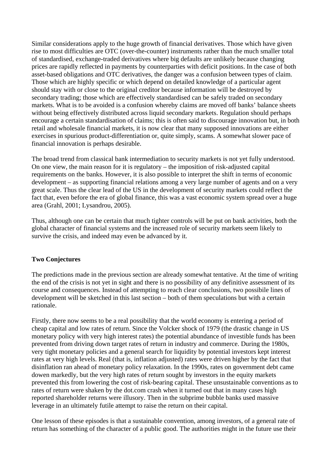Similar considerations apply to the huge growth of financial derivatives. Those which have given rise to most difficulties are OTC (over-the-counter) instruments rather than the much smaller total of standardised, exchange-traded derivatives where big defaults are unlikely because changing prices are rapidly reflected in payments by counterparties with deficit positions. In the case of both asset-based obligations and OTC derivatives, the danger was a confusion between types of claim. Those which are highly specific or which depend on detailed knowledge of a particular agent should stay with or close to the original creditor because information will be destroyed by secondary trading; those which are effectively standardised can be safely traded on secondary markets. What is to be avoided is a confusion whereby claims are moved off banks' balance sheets without being effectively distributed across liquid secondary markets. Regulation should perhaps encourage a certain standardisation of claims; this is often said to discourage innovation but, in both retail and wholesale financial markets, it is now clear that many supposed innovations are either exercises in spurious product-differentiation or, quite simply, scams. A somewhat slower pace of financial innovation is perhaps desirable.

The broad trend from classical bank intermediation to security markets is not yet fully understood. On one view, the main reason for it is regulatory – the imposition of risk-adjusted capital requirements on the banks. However, it is also possible to interpret the shift in terms of economic development – as supporting financial relations among a very large number of agents and on a very great scale. Thus the clear lead of the US in the development of security markets could reflect the fact that, even before the era of global finance, this was a vast economic system spread over a huge area (Grahl, 2001; Lysandrou, 2005).

Thus, although one can be certain that much tighter controls will be put on bank activities, both the global character of financial systems and the increased role of security markets seem likely to survive the crisis, and indeed may even be advanced by it.

## **Two Conjectures**

The predictions made in the previous section are already somewhat tentative. At the time of writing the end of the crisis is not yet in sight and there is no possibility of any definitive assessment of its course and consequences. Instead of attempting to reach clear conclusions, two possibile lines of development will be sketched in this last section – both of them speculations but with a certain rationale.

Firstly, there now seems to be a real possibility that the world economy is entering a period of cheap capital and low rates of return. Since the Volcker shock of 1979 (the drastic change in US monetary policy with very high interest rates) the potential abundance of investible funds has been prevented from driving down target rates of return in industry and commerce. During the 1980s, very tight monetary policies and a general search for liquidity by potential investors kept interest rates at very high levels. Real (that is, inflation adjusted) rates were driven higher by the fact that disinflation ran ahead of monetary policy relaxation. In the 1990s, rates on government debt came dowen markedly, but the very high rates of return sought by investors in the equity markets prevented this from lowering the cost of risk-bearing capital. These unsustainable conventions as to rates of return were shaken by the dot.com crash when it turned out that in many cases high reported shareholder returns were illusory. Then in the subprime bubble banks used massive leverage in an ultimately futile attempt to raise the return on their capital.

One lesson of these episodes is that a sustainable convention, among investors, of a general rate of return has something of the character of a public good. The authorities might in the future use their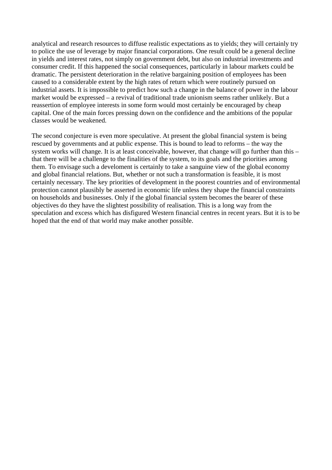analytical and research resources to diffuse realistic expectations as to yields; they will certainly try to police the use of leverage by major financial corporations. One result could be a general decline in yields and interest rates, not simply on government debt, but also on industrial investments and consumer credit. If this happened the social consequences, particularly in labour markets could be dramatic. The persistent deterioration in the relative bargaining position of employees has been caused to a considerable extent by the high rates of return which were routinely pursued on industrial assets. It is impossible to predict how such a change in the balance of power in the labour market would be expressed – a revival of traditional trade unionism seems rather unlikely. But a reassertion of employee interests in some form would most certainly be encouraged by cheap capital. One of the main forces pressing down on the confidence and the ambitions of the popular classes would be weakened.

The second conjecture is even more speculative. At present the global financial system is being rescued by governments and at public expense. This is bound to lead to reforms – the way the system works will change. It is at least conceivable, however, that change will go further than this – that there will be a challenge to the finalities of the system, to its goals and the priorities among them. To envisage such a develoment is certainly to take a sanguine view of the global economy and global financial relations. But, whether or not such a transformation is feasible, it is most certainly necessary. The key priorities of development in the poorest countries and of environmental protection cannot plausibly be asserted in economic life unless they shape the financial constraints on households and businesses. Only if the global financial system becomes the bearer of these objectives do they have the slightest possibility of realisation. This is a long way from the speculation and excess which has disfigured Western financial centres in recent years. But it is to be hoped that the end of that world may make another possible.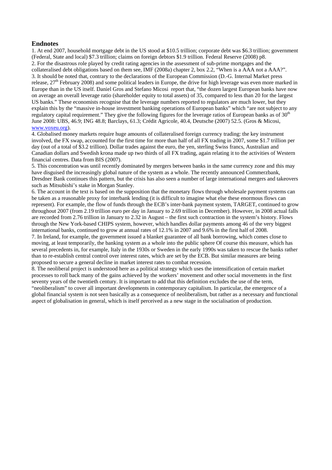#### **Endnotes**

1. At end 2007, household mortgage debt in the US stood at \$10.5 trillion; corporate debt was \$6.3 trillion; government (Federal, State and local) \$7.3 trillion; claims on foreign debtors \$1.9 trillion. Federal Reserve (2008) p8. 2. For the disastrous role played by credit rating agencies in the assessment of sub-prime mortgages and the collateralised debt obligations based on them see, IMF (2008a) chapter 2, box 2.2, "When is a AAA not a AAA?". 3. It should be noted that, contrary to the declarations of the European Commission (D.-G. Internal Market press release,  $27<sup>th</sup>$  February 2008) and some political leaders in Europe, the drive for high leverage was even more marked in Europe than in the US itself. Daniel Gros and Stefano Micosi report that, "the dozen largest European banks have now on average an overall leverage ratio (shareholder equity to total assets) of 35, compared to less than 20 for the largest US banks." These economists recognise that the leverage numbers reported to regulators are much lower, but they explain this by the "massive in-house investment banking operations of European banks" which "are not subject to any regulatory capital requirement." They give the following figures for the leverage ratios of European banks as of  $30<sup>th</sup>$ June 2008: UBS, 46.9; ING 48.8; Barclays, 61.3; Crédit Agricole, 40.4, Deutsche (2007) 52.5. (Gros & Micosi, www.voxeu.org).

4. Globalised money markets require huge amounts of collateralised foreign currency trading: the key instrument involved, the FX swap, accounted for the first time for more than half of all FX trading in 2007, some \$1.7 trillion per day (out of a total of \$3.2 trillion). Dollar trades against the euro, the yen, sterling Swiss francs, Australian and Canadian dollars and Swedish krona made up two thirds of all FX trading, again relating it to the activities of Western financial centres. Data from BIS (2007).

5. This concentration was until recently dominated by mergers between banks in the same currency zone and this may have disguised the increasingly global nature of the system as a whole. The recently announced Commerzbank, Dresdner Bank continues this pattern, but the crisis has also seen a number of large international mergers and takeovers such as Mitsubishi's stake in Morgan Stanley.

6. The account in the text is based on the supposition that the monetary flows through wholesale payment systems can be taken as a reasonable proxy for interbank lending (it is difficult to imagine what else these enormous flows can represent). For example, the flow of funds through the ECB's inter-bank payment system, TARGET, continued to grow throughout 2007 (from 2.19 trillion euro per day in January to 2.69 trillion in December). However, in 2008 actual falls are recorded from 2.76 trillion in January to 2.32 in August – the first such contraction in the system's history. Flows through the New York-based CHIPS system, however, which handles dollar payments among 46 of the very biggest international banks, continued to grow at annual rates of 12.1% in 2007 and 9.6% in the first half of 2008.

7. In Ireland, for example, the government issued a blanket guarantee of all bank borrowing, which comes close to moving, at least temporarily, the banking system as a whole into the public sphere Of course this measure, which has several precedents in, for example, Italy in the 1930s or Sweden in the early 1990s was taken to rescue the banks rather than to re-establish central control over interest rates, which are set by the ECB. But similar measures are being proposed to secure a general decline in market interest rates to combat recession.

8. The neoliberal project is understood here as a political strategy which uses the intensification of certain market processes to roll back many of the gains achieved by the workers' movement and other social movements in the first seventy years of the twentieth century. It is important to add that this definition excludes the use of the term, "neoliberalism" to cover all important developments in contemporary capitalism. In particular, the emergence of a global financial system is not seen basically as a consequence of neoliberalism, but rather as a necessary and functional aspect of globalisation in general, which is itself perceived as a new stage in the socialisation of production.